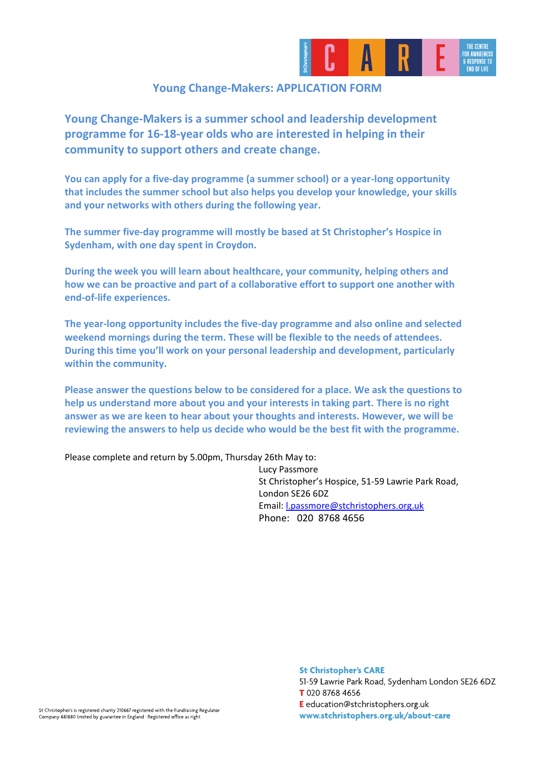

## **Young Change-Makers: APPLICATION FORM**

**Young Change-Makers is a summer school and leadership development programme for 16-18-year olds who are interested in helping in their community to support others and create change.** 

**You can apply for a five-day programme (a summer school) or a year-long opportunity that includes the summer school but also helps you develop your knowledge, your skills and your networks with others during the following year.** 

**The summer five-day programme will mostly be based at St Christopher's Hospice in Sydenham, with one day spent in Croydon.** 

**During the week you will learn about healthcare, your community, helping others and how we can be proactive and part of a collaborative effort to support one another with end-of-life experiences.** 

**The year-long opportunity includes the five-day programme and also online and selected weekend mornings during the term. These will be flexible to the needs of attendees. During this time you'll work on your personal leadership and development, particularly within the community.** 

**Please answer the questions below to be considered for a place. We ask the questions to help us understand more about you and your interests in taking part. There is no right answer as we are keen to hear about your thoughts and interests. However, we will be reviewing the answers to help us decide who would be the best fit with the programme.** 

Please complete and return by 5.00pm, Thursday 26th May to:

Lucy Passmore St Christopher's Hospice, 51-59 Lawrie Park Road, London SE26 6DZ Email: [l.passmore@stchristophers.org.uk](mailto:l.passmore@stchristophers.org.uk) Phone: 020 8768 4656

**St Christopher's CARE** 

51-59 Lawrie Park Road, Sydenham London SE26 6DZ T 020 8768 4656 E education@stchristophers.org.uk www.stchristophers.org.uk/about-care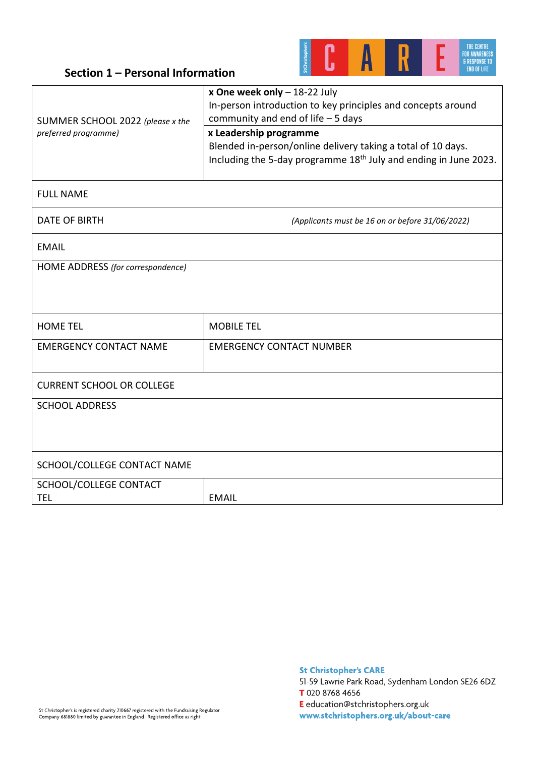

# **Section 1 – Personal Information**

| SUMMER SCHOOL 2022 (please x the<br>preferred programme) | x One week only $-18-22$ July<br>In-person introduction to key principles and concepts around<br>community and end of life $-5$ days                                   |  |
|----------------------------------------------------------|------------------------------------------------------------------------------------------------------------------------------------------------------------------------|--|
|                                                          | x Leadership programme<br>Blended in-person/online delivery taking a total of 10 days.<br>Including the 5-day programme 18 <sup>th</sup> July and ending in June 2023. |  |
| <b>FULL NAME</b>                                         |                                                                                                                                                                        |  |
| DATE OF BIRTH                                            | (Applicants must be 16 on or before 31/06/2022)                                                                                                                        |  |
| EMAIL                                                    |                                                                                                                                                                        |  |
| HOME ADDRESS (for correspondence)                        |                                                                                                                                                                        |  |
|                                                          |                                                                                                                                                                        |  |
| <b>HOME TEL</b>                                          | <b>MOBILE TEL</b>                                                                                                                                                      |  |
| <b>EMERGENCY CONTACT NAME</b>                            | <b>EMERGENCY CONTACT NUMBER</b>                                                                                                                                        |  |
| <b>CURRENT SCHOOL OR COLLEGE</b>                         |                                                                                                                                                                        |  |
| <b>SCHOOL ADDRESS</b>                                    |                                                                                                                                                                        |  |
| SCHOOL/COLLEGE CONTACT NAME                              |                                                                                                                                                                        |  |
| SCHOOL/COLLEGE CONTACT<br><b>TEL</b>                     | <b>EMAIL</b>                                                                                                                                                           |  |

51-59 Lawrie Park Road, Sydenham London SE26 6DZ T 020 8768 4656

E education@stchristophers.org.uk www.stchristophers.org.uk/about-care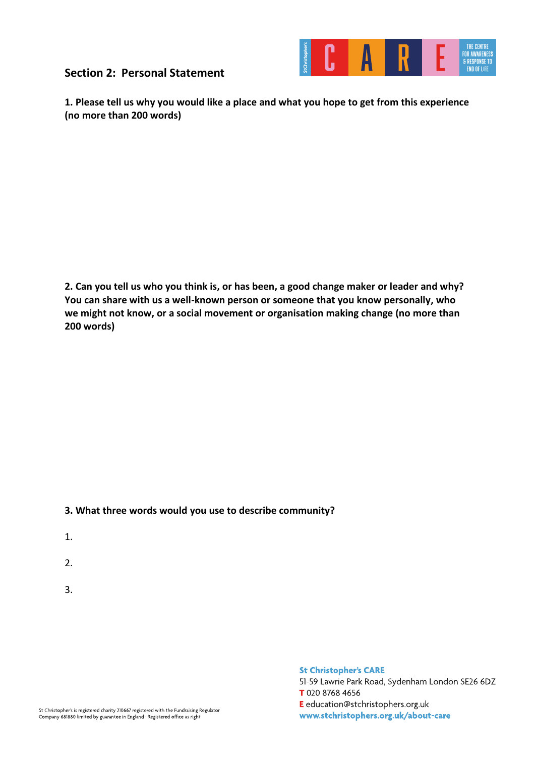**Section 2: Personal Statement** 



**1. Please tell us why you would like a place and what you hope to get from this experience (no more than 200 words)**

**2. Can you tell us who you think is, or has been, a good change maker or leader and why? You can share with us a well-known person or someone that you know personally, who we might not know, or a social movement or organisation making change (no more than 200 words)**

### **3. What three words would you use to describe community?**

- 1.
- 2.
- 3.

**St Christopher's CARE** 

51-59 Lawrie Park Road, Sydenham London SE26 6DZ T 020 8768 4656 E education@stchristophers.org.uk www.stchristophers.org.uk/about-care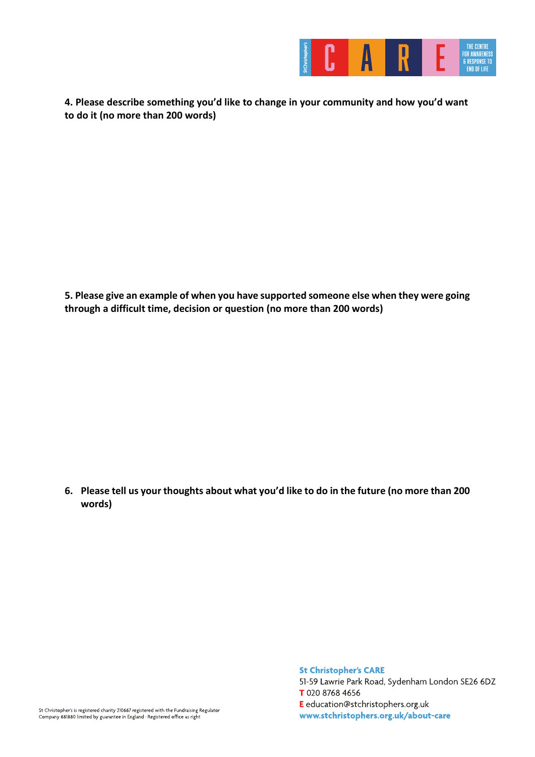

**4. Please describe something you'd like to change in your community and how you'd want to do it (no more than 200 words)**

**5. Please give an example of when you have supported someone else when they were going through a difficult time, decision or question (no more than 200 words)** 

**6. Please tell us your thoughts about what you'd like to do in the future (no more than 200 words)**

> **St Christopher's CARE** 51-59 Lawrie Park Road, Sydenham London SE26 6DZ T 020 8768 4656 E education@stchristophers.org.uk www.stchristophers.org.uk/about-care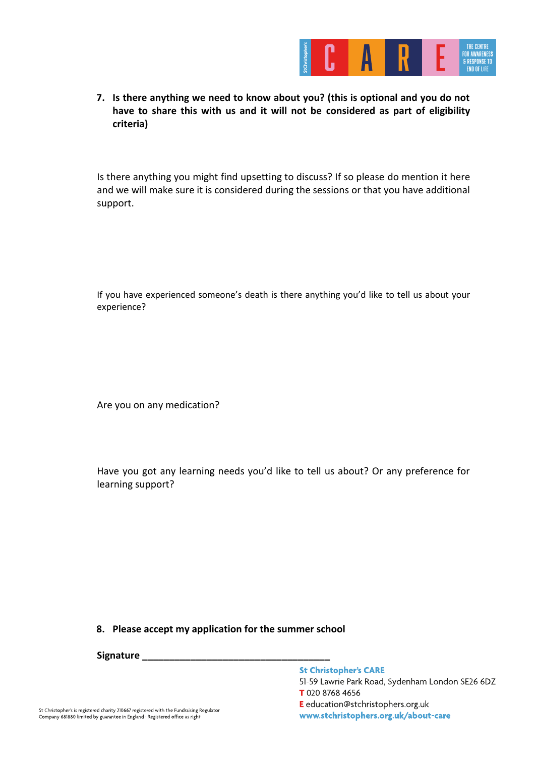

**7. Is there anything we need to know about you? (this is optional and you do not have to share this with us and it will not be considered as part of eligibility criteria)**

Is there anything you might find upsetting to discuss? If so please do mention it here and we will make sure it is considered during the sessions or that you have additional support.

If you have experienced someone's death is there anything you'd like to tell us about your experience?

Are you on any medication?

Have you got any learning needs you'd like to tell us about? Or any preference for learning support?

#### **8. Please accept my application for the summer school**

**Signature \_\_\_\_\_\_\_\_\_\_\_\_\_\_\_\_\_\_\_\_\_\_\_\_\_\_\_\_\_\_\_\_\_\_\_**

#### **St Christopher's CARE**

51-59 Lawrie Park Road, Sydenham London SE26 6DZ T 020 8768 4656

E education@stchristophers.org.uk www.stchristophers.org.uk/about-care

St Christopher's is registered charity 210667 registered with the Fundraising Regulator Company 681880 limited by guarantee in England · Registered office as right